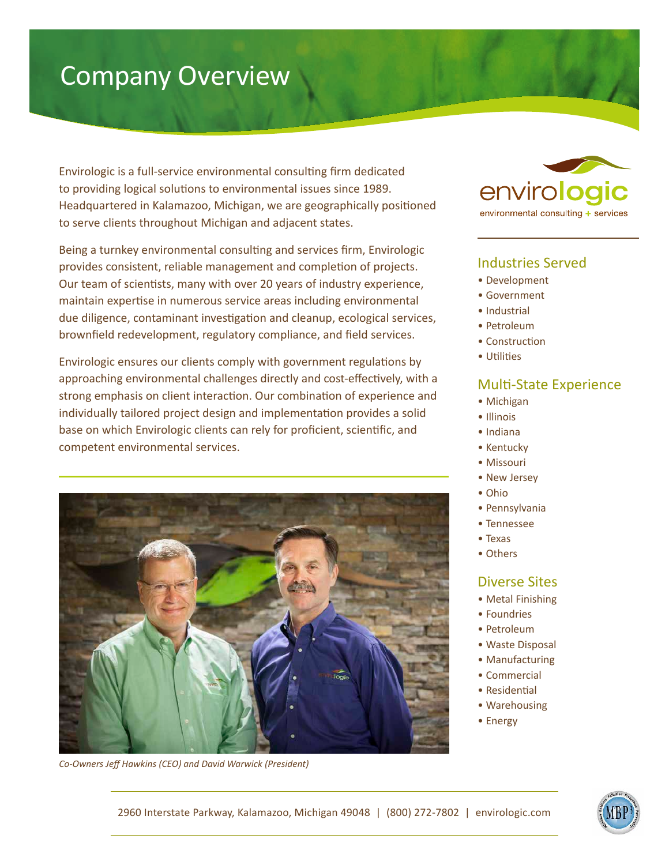# Company Overview

Envirologic is a full-service environmental consulting firm dedicated to providing logical solutions to environmental issues since 1989. Headquartered in Kalamazoo, Michigan, we are geographically positioned to serve clients throughout Michigan and adjacent states.

Being a turnkey environmental consulting and services firm, Envirologic provides consistent, reliable management and completion of projects. Our team of scientists, many with over 20 years of industry experience, maintain expertise in numerous service areas including environmental due diligence, contaminant investigation and cleanup, ecological services, brownfield redevelopment, regulatory compliance, and field services.

Envirologic ensures our clients comply with government regulations by approaching environmental challenges directly and cost-effectively, with a strong emphasis on client interaction. Our combination of experience and individually tailored project design and implementation provides a solid base on which Envirologic clients can rely for proficient, scientific, and competent environmental services.



*Co-Owners Jeff Hawkins (CEO) and David Warwick (President)*



# Industries Served

- Development
- Government
- Industrial
- Petroleum
- Construction
- Utilities

## Multi-State Experience

- Michigan
- Illinois
- Indiana
- Kentucky
- Missouri
- New Jersey
- Ohio
- Pennsylvania
- Tennessee
- Texas
- Others

### Diverse Sites

- Metal Finishing
- Foundries
- Petroleum
- Waste Disposal
- Manufacturing
- Commercial
- Residential
- Warehousing
- Energy